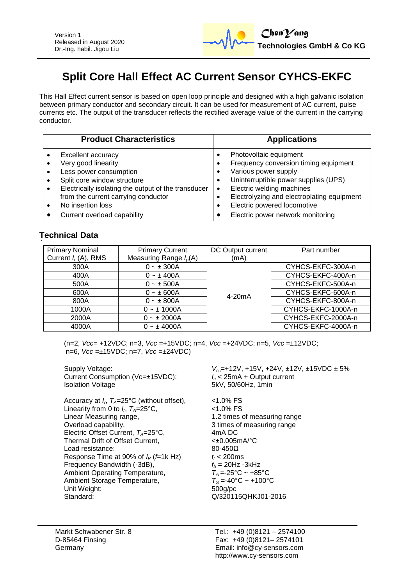

# **Split Core Hall Effect AC Current Sensor CYHCS-EKFC**

This Hall Effect current sensor is based on open loop principle and designed with a high galvanic isolation between primary conductor and secondary circuit. It can be used for measurement of AC current, pulse currents etc. The output of the transducer reflects the rectified average value of the current in the carrying conductor.

| <b>Product Characteristics</b>                                                                                                                 | <b>Applications</b>                                                                                                                                      |
|------------------------------------------------------------------------------------------------------------------------------------------------|----------------------------------------------------------------------------------------------------------------------------------------------------------|
| Excellent accuracy<br>Very good linearity<br>Less power consumption<br>Split core window structure                                             | Photovoltaic equipment<br>Frequency conversion timing equipment<br>Various power supply<br>Uninterruptible power supplies (UPS)                          |
| Electrically isolating the output of the transducer<br>from the current carrying conductor<br>No insertion loss<br>Current overload capability | Electric welding machines<br>$\bullet$<br>Electrolyzing and electroplating equipment<br>Electric powered locomotive<br>Electric power network monitoring |

# **Technical Data**

| <b>Primary Nominal</b><br>Current $I_r(A)$ , RMS | <b>Primary Current</b><br>Measuring Range $I_p(A)$ | DC Output current<br>(mA) | Part number        |
|--------------------------------------------------|----------------------------------------------------|---------------------------|--------------------|
| 300A                                             | $0 - \pm 300A$                                     | $4-20mA$                  | CYHCS-EKFC-300A-n  |
| 400A                                             | $0 - \pm 400A$                                     |                           | CYHCS-EKFC-400A-n  |
| 500A                                             | $0 - \pm 500A$                                     |                           | CYHCS-EKFC-500A-n  |
| 600A                                             | $0 - \pm 600A$                                     |                           | CYHCS-EKFC-600A-n  |
| 800A                                             | $0 - \pm 800A$                                     |                           | CYHCS-EKFC-800A-n  |
| 1000A                                            | $0 - \pm 1000A$                                    |                           | CYHCS-EKFC-1000A-n |
| 2000A                                            | $0 - \pm 2000A$                                    |                           | CYHCS-EKFC-2000A-n |
| 4000A                                            | $0 - \pm 4000A$                                    |                           | CYHCS-EKFC-4000A-n |

(n=2, *Vcc*= +12VDC; n=3, *Vcc* =+15VDC; n=4, *Vcc* =+24VDC; n=5, *Vcc* =±12VDC; n=6, *Vcc* =±15VDC; n=7, *Vcc* =±24VDC)

Current Consumption (Vc=±15VDC):<br>*I*solation Voltage

Accuracy at *I<sup>r</sup>* , *TA*=25°C (without offset), <1.0% FS Linearity from 0 to  $I_r$ ,  $T_A$ =25°C,  $\hspace{1cm}$  <1.0% FS Linear Measuring range, 1.2 times of measuring range Overload capability, 3 times of measuring range Electric Offset Current, *T<sub>A</sub>*=25°C, 4mA DC<br>Thermal Drift of Offset Current. 4  $< \pm 0.005$ mA/°C Thermal Drift of Offset Current, Load resistance: 80-450Ω Response Time at 90% of *I<sup>P</sup>* (*f*=1k Hz) *t<sup>r</sup>* < 200ms Frequency Bandwidth (-3dB),  $f_b = 20$ Hz -3kHz<br>Ambient Operating Temperature,  $T_A = -25^\circ \text{C} \sim +85^\circ \text{C}$ Ambient Operating Temperature,  $T_A = -25^\circ \text{C} \sim +85^\circ \text{C}$ <br>Ambient Storage Temperature,  $T_S = -40^\circ \text{C} \sim +100^\circ \text{C}$ Ambient Storage Temperature, Unit Weight: 500g/pc Standard: Q/320115QHKJ01-2016

Supply Voltage:<br>Current Consumption (Vc=±15VDC):<br> $V_{cc}$ =+12V, +15V, +24V, ±12V, ±15VDC ± 5%<br> $I_c$  < 25mA + Output current 5kV, 50/60Hz, 1min